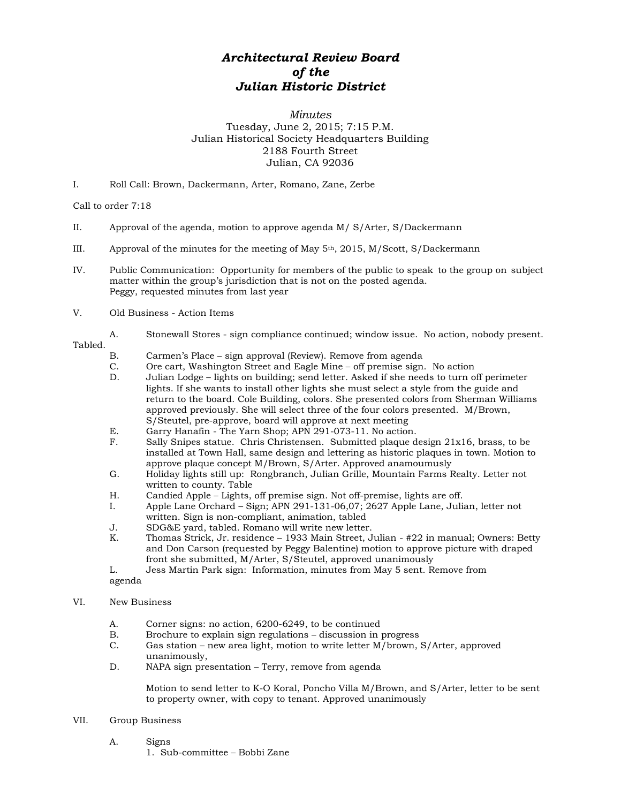## *Architectural Review Board of the Julian Historic District*

## *Minutes* Tuesday, June 2, 2015; 7:15 P.M. Julian Historical Society Headquarters Building 2188 Fourth Street Julian, CA 92036

I. Roll Call: Brown, Dackermann, Arter, Romano, Zane, Zerbe

Call to order 7:18

- II. Approval of the agenda, motion to approve agenda M/ S/Arter, S/Dackermann
- III. Approval of the minutes for the meeting of May  $5<sup>th</sup>$ , 2015, M/Scott, S/Dackermann
- IV. Public Communication: Opportunity for members of the public to speak to the group on subject matter within the group's jurisdiction that is not on the posted agenda. Peggy, requested minutes from last year
- V. Old Business Action Items
	- A. Stonewall Stores sign compliance continued; window issue. No action, nobody present.

## Tabled.<br>B.

- B. Carmen's Place sign approval (Review). Remove from agenda<br>C. Ore cart, Washington Street and Eagle Mine off premise sign.
- C. Ore cart, Washington Street and Eagle Mine off premise sign. No action
- D. Julian Lodge lights on building; send letter. Asked if she needs to turn off perimeter lights. If she wants to install other lights she must select a style from the guide and return to the board. Cole Building, colors. She presented colors from Sherman Williams approved previously. She will select three of the four colors presented. M/Brown, S/Steutel, pre-approve, board will approve at next meeting
- E. Garry Hanafin The Yarn Shop; APN 291-073-11. No action.
- F. Sally Snipes statue. Chris Christensen. Submitted plaque design 21x16, brass, to be installed at Town Hall, same design and lettering as historic plaques in town. Motion to approve plaque concept M/Brown, S/Arter. Approved anamoumusly
- G. Holiday lights still up: Rongbranch, Julian Grille, Mountain Farms Realty. Letter not written to county. Table
- H. Candied Apple Lights, off premise sign. Not off-premise, lights are off.
- I. Apple Lane Orchard Sign; APN 291-131-06,07; 2627 Apple Lane, Julian, letter not written. Sign is non-compliant, animation, tabled
- J. SDG&E yard, tabled. Romano will write new letter.
- K. Thomas Strick, Jr. residence 1933 Main Street, Julian #22 in manual; Owners: Betty and Don Carson (requested by Peggy Balentine) motion to approve picture with draped front she submitted, M/Arter, S/Steutel, approved unanimously
- L. Jess Martin Park sign: Information, minutes from May 5 sent. Remove from

agenda

## VI. New Business

- A. Corner signs: no action, 6200-6249, to be continued<br>B. Brochure to explain sign regulations discussion in
- Brochure to explain sign regulations discussion in progress
- C. Gas station new area light, motion to write letter M/brown, S/Arter, approved unanimously,
- D. NAPA sign presentation Terry, remove from agenda

Motion to send letter to K-O Koral, Poncho Villa M/Brown, and S/Arter, letter to be sent to property owner, with copy to tenant. Approved unanimously

- VII. Group Business
	- A. Signs
		- 1. Sub-committee Bobbi Zane